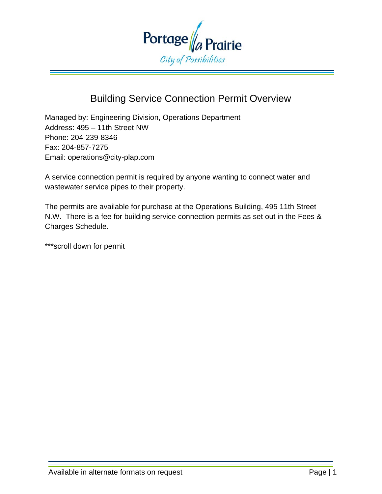

# Building Service Connection Permit Overview

Managed by: Engineering Division, Operations Department Address: 495 – 11th Street NW Phone: 204-239-8346 Fax: 204-857-7275 Email: operations@city-plap.com

A service connection permit is required by anyone wanting to connect water and wastewater service pipes to their property.

The permits are available for purchase at the Operations Building, 495 11th Street N.W. There is a fee for building service connection permits as set out in the Fees & Charges Schedule.

\*\*\*scroll down for permit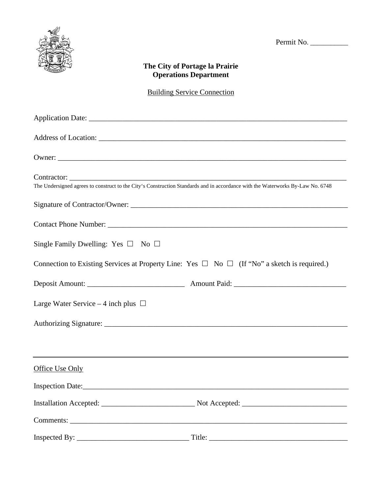

Permit No. \_\_\_\_\_\_\_\_\_\_\_

#### **The City of Portage la Prairie Operations Department**

## Building Service Connection

| Owner:                                                                                                                         |  |
|--------------------------------------------------------------------------------------------------------------------------------|--|
| The Undersigned agrees to construct to the City's Construction Standards and in accordance with the Waterworks By-Law No. 6748 |  |
|                                                                                                                                |  |
|                                                                                                                                |  |
| Single Family Dwelling: Yes $\square$ No $\square$                                                                             |  |
| Connection to Existing Services at Property Line: Yes $\Box$ No $\Box$ (If "No" a sketch is required.)                         |  |
|                                                                                                                                |  |
| Large Water Service – 4 inch plus $\Box$                                                                                       |  |
|                                                                                                                                |  |
|                                                                                                                                |  |
| Office Use Only                                                                                                                |  |
| Inspection Date:                                                                                                               |  |
|                                                                                                                                |  |
|                                                                                                                                |  |
|                                                                                                                                |  |